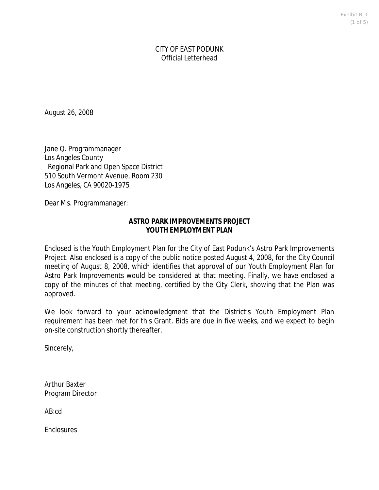Exhibit B-1 (1 of 5)

CITY OF EAST PODUNK Official Letterhead

August 26, 2008

Jane Q. Programmanager Los Angeles County Regional Park and Open Space District 510 South Vermont Avenue, Room 230 Los Angeles, CA 90020-1975

Dear Ms. Programmanager:

### **ASTRO PARK IMPROVEMENTS PROJECT** YOUTH FMPLOYMENT PLAN

Enclosed is the Youth Employment Plan for the City of East Podunk's Astro Park Improvements Project. Also enclosed is a copy of the public notice posted August 4, 2008, for the City Council meeting of August 8, 2008, which identifies that approval of our Youth Employment Plan for Astro Park Improvements would be considered at that meeting. Finally, we have enclosed a copy of the minutes of that meeting, certified by the City Clerk, showing that the Plan was approved.

We look forward to your acknowledgment that the District's Youth Employment Plan requirement has been met for this Grant. Bids are due in five weeks, and we expect to begin on-site construction shortly thereafter.

Sincerely,

Arthur Baxter Program Director

AB:cd

**Enclosures**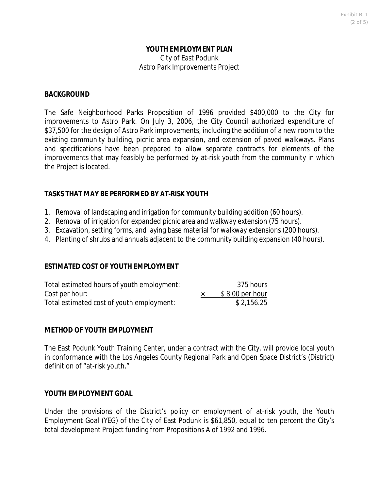### YOUTH FMPLOYMENT PLAN City of East Podunk Astro Park Improvements Project

### **BACKGROUND**

The Safe Neighborhood Parks Proposition of 1996 provided \$400,000 to the City for improvements to Astro Park. On July 3, 2006, the City Council authorized expenditure of \$37,500 for the design of Astro Park improvements, including the addition of a new room to the existing community building, picnic area expansion, and extension of paved walkways. Plans and specifications have been prepared to allow separate contracts for elements of the improvements that may feasibly be performed by at-risk youth from the community in which the Project is located.

### **TASKS THAT MAY BE PERFORMED BY AT-RISK YOUTH**

- 1. Removal of landscaping and irrigation for community building addition (60 hours).
- 2. Removal of irrigation for expanded picnic area and walkway extension (75 hours).
- 3. Excavation, setting forms, and laying base material for walkway extensions (200 hours).
- 4. Planting of shrubs and annuals adjacent to the community building expansion (40 hours).

### **ESTIMATED COST OF YOUTH EMPLOYMENT**

| Total estimated hours of youth employment: | 375 hours        |
|--------------------------------------------|------------------|
| Cost per hour:                             | $$8.00$ per hour |
| Total estimated cost of youth employment:  | \$2,156.25       |

## **METHOD OF YOUTH EMPLOYMENT**

The East Podunk Youth Training Center, under a contract with the City, will provide local youth in conformance with the Los Angeles County Regional Park and Open Space District's (District) definition of "at-risk youth."

### **YOUTH EMPLOYMENT GOAL**

Under the provisions of the District's policy on employment of at-risk youth, the Youth Employment Goal (YEG) of the City of East Podunk is \$61,850, equal to ten percent the City's total development Project funding from Propositions A of 1992 and 1996.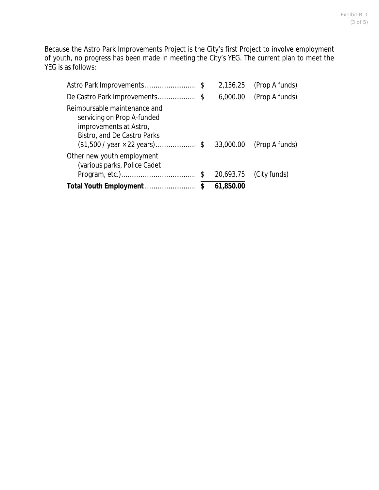Because the Astro Park Improvements Project is the City's first Project to involve employment of youth, no progress has been made in meeting the City's YEG. The current plan to meet the YEG is as follows:

|                                                                                                                                                             | 2,156.25        | (Prop A funds) |
|-------------------------------------------------------------------------------------------------------------------------------------------------------------|-----------------|----------------|
| De Castro Park Improvements                                                                                                                                 | \$<br>6,000.00  | (Prop A funds) |
| Reimbursable maintenance and<br>servicing on Prop A-funded<br>improvements at Astro,<br>Bistro, and De Castro Parks<br>$($1,500 / year \times 22 years)$ \$ | 33,000.00       | (Prop A funds) |
| Other new youth employment<br>(various parks, Police Cadet                                                                                                  | \$<br>20,693.75 | (City funds)   |
|                                                                                                                                                             | \$<br>61,850.00 |                |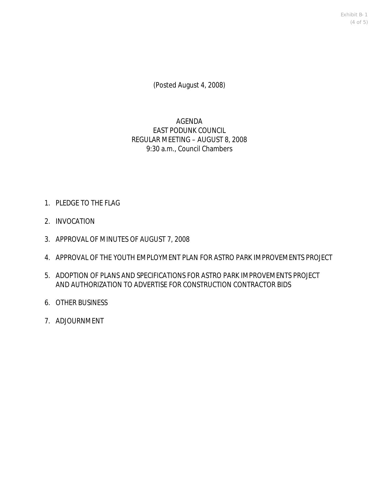Exhibit B-1 (4 of 5)

(Posted August 4, 2008)

# AGENDA EAST PODUNK COUNCIL REGULAR MEETING – AUGUST 8, 2008 9:30 a.m., Council Chambers

- 1. PLEDGE TO THE FLAG
- 2. INVOCATION
- 3. APPROVAL OF MINUTES OF AUGUST 7, 2008
- 4. APPROVAL OF THE YOUTH EMPLOYMENT PLAN FOR ASTRO PARK IMPROVEMENTS PROJECT
- 5. ADOPTION OF PLANS AND SPECIFICATIONS FOR ASTRO PARK IMPROVEMENTS PROJECT AND AUTHORIZATION TO ADVERTISE FOR CONSTRUCTION CONTRACTOR BIDS
- 6. OTHER BUSINESS
- 7. ADJOURNMENT